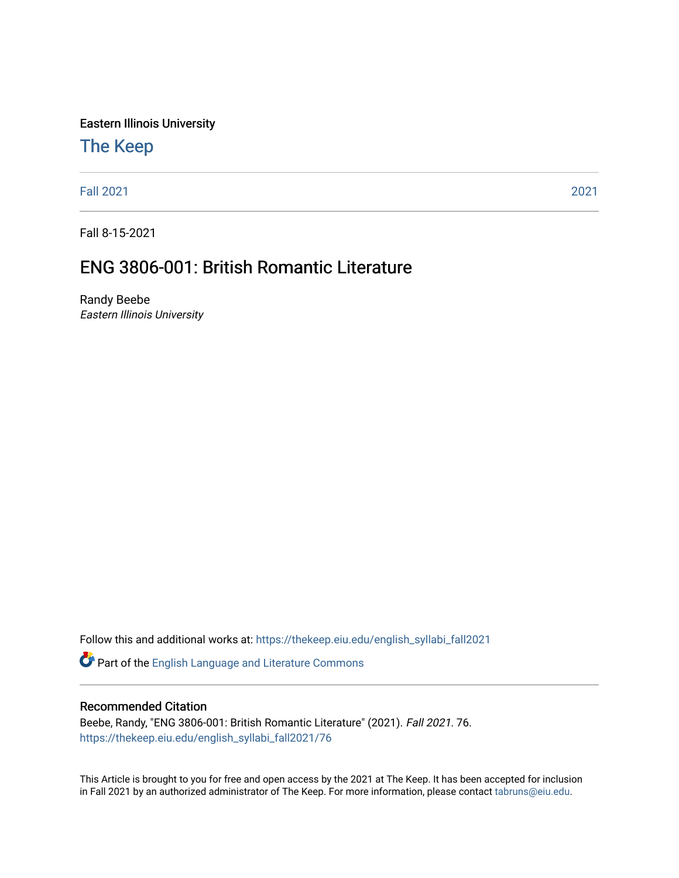Eastern Illinois University

# [The Keep](https://thekeep.eiu.edu/)

[Fall 2021](https://thekeep.eiu.edu/english_syllabi_fall2021) [2021](https://thekeep.eiu.edu/english_syllabi2021) 

Fall 8-15-2021

# ENG 3806-001: British Romantic Literature

Randy Beebe Eastern Illinois University

Follow this and additional works at: [https://thekeep.eiu.edu/english\\_syllabi\\_fall2021](https://thekeep.eiu.edu/english_syllabi_fall2021?utm_source=thekeep.eiu.edu%2Fenglish_syllabi_fall2021%2F76&utm_medium=PDF&utm_campaign=PDFCoverPages) 

Part of the [English Language and Literature Commons](http://network.bepress.com/hgg/discipline/455?utm_source=thekeep.eiu.edu%2Fenglish_syllabi_fall2021%2F76&utm_medium=PDF&utm_campaign=PDFCoverPages)

#### Recommended Citation

Beebe, Randy, "ENG 3806-001: British Romantic Literature" (2021). Fall 2021. 76. [https://thekeep.eiu.edu/english\\_syllabi\\_fall2021/76](https://thekeep.eiu.edu/english_syllabi_fall2021/76?utm_source=thekeep.eiu.edu%2Fenglish_syllabi_fall2021%2F76&utm_medium=PDF&utm_campaign=PDFCoverPages)

This Article is brought to you for free and open access by the 2021 at The Keep. It has been accepted for inclusion in Fall 2021 by an authorized administrator of The Keep. For more information, please contact [tabruns@eiu.edu](mailto:tabruns@eiu.edu).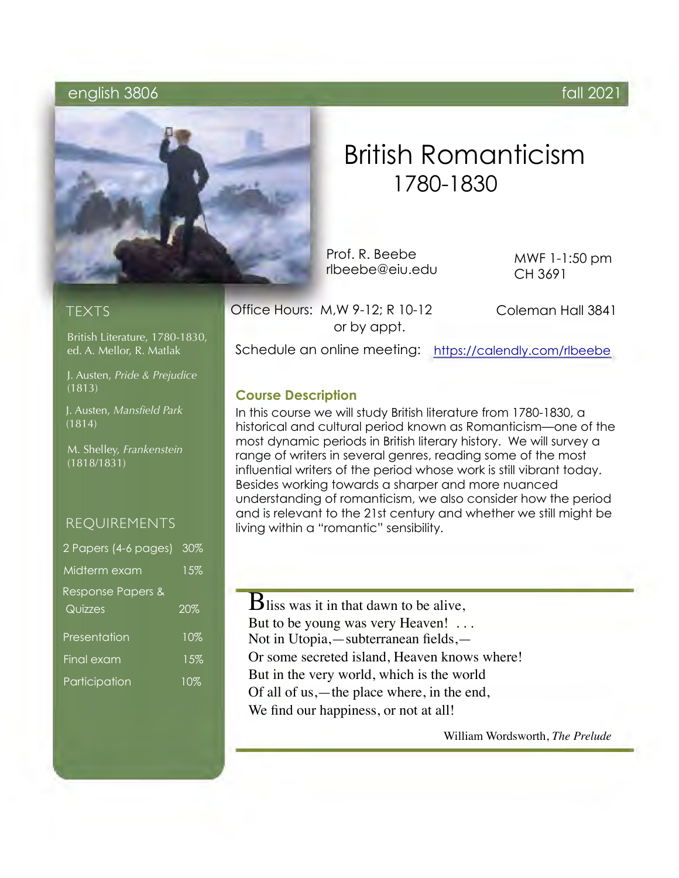## english 3806 fall 2021 and the state of the state of the state of the state of the state of the state of the state of the state of the state of the state of the state of the state of the state of the state of the state of



# British Romanticism 1780-1830

Prof. R. Beebe rlbeebe@eiu.edu

MWF 1-1:50 pm CH 3691

### **TEXTS**

British Literature, 1780-1830, ed. A. Mellor, R. Matlak

J. Austen, *Pride & Prejudice* (1813)

J. Austen, *Mansfield Park*  (1814)

M. Shelley, *Frankenstein*  (1818/1831)

### REQUIREMENTS

| 2 Papers (4-6 pages) | 30%    |
|----------------------|--------|
| Midterm exam         | 15%    |
| Response Papers &    |        |
| Quizzes              | 20%    |
| Presentation         | 10%    |
| Final exam           | 15%    |
| Participation        | $10\%$ |
|                      |        |

Office Hours: M,W 9-12; R 10-12 or by appt.

Coleman Hall 3841

Schedule an online meeting: <https://calendly.com/rlbeebe>

#### **Course Description**

In this course we will study British literature from 1780-1830, a historical and cultural period known as Romanticism—one of the most dynamic periods in British literary history. We will survey a range of writers in several genres, reading some of the most influential writers of the period whose work is still vibrant today. Besides working towards a sharper and more nuanced understanding of romanticism, we also consider how the period and is relevant to the 21st century and whether we still might be living within a "romantic" sensibility.

 $\mathbf{B}$  liss was it in that dawn to be alive, But to be young was very Heaven! ... Not in Utopia,—subterranean fields,— Or some secreted island, Heaven knows where! But in the very world, which is the world Of all of us,—the place where, in the end, We find our happiness, or not at all!

William Wordsworth, *The Prelude*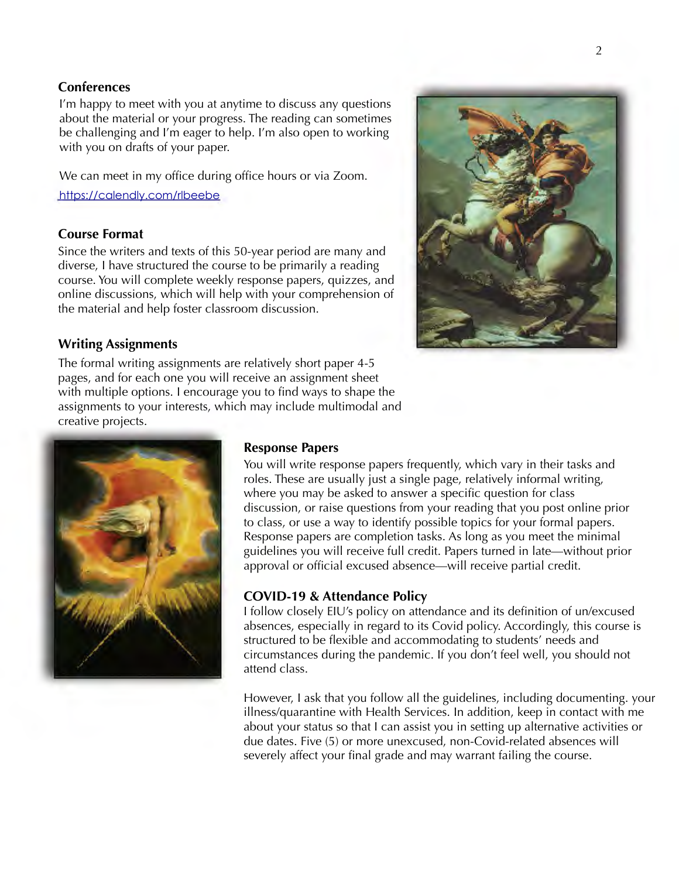#### **Conferences**

I'm happy to meet with you at anytime to discuss any questions about the material or your progress. The reading can sometimes be challenging and I'm eager to help. I'm also open to working with you on drafts of your paper.

We can meet in my office during office hours or via Zoom. <https://calendly.com/rlbeebe>

#### **Course Format**

Since the writers and texts of this 50-year period are many and diverse, I have structured the course to be primarily a reading course. You will complete weekly response papers, quizzes, and online discussions, which will help with your comprehension of the material and help foster classroom discussion.

#### **Writing Assignments**

The formal writing assignments are relatively short paper 4-5 pages, and for each one you will receive an assignment sheet with multiple options. I encourage you to find ways to shape the assignments to your interests, which may include multimodal and creative projects.



#### **Response Papers**

You will write response papers frequently, which vary in their tasks and roles. These are usually just a single page, relatively informal writing, where you may be asked to answer a specific question for class discussion, or raise questions from your reading that you post online prior to class, or use a way to identify possible topics for your formal papers. Response papers are completion tasks. As long as you meet the minimal guidelines you will receive full credit. Papers turned in late—without prior approval or official excused absence—will receive partial credit.

#### **COVID-19 & Attendance Policy**

I follow closely EIU's policy on attendance and its definition of un/excused absences, especially in regard to its Covid policy. Accordingly, this course is structured to be flexible and accommodating to students' needs and circumstances during the pandemic. If you don't feel well, you should not attend class.

However, I ask that you follow all the guidelines, including documenting. your illness/quarantine with Health Services. In addition, keep in contact with me about your status so that I can assist you in setting up alternative activities or due dates. Five (5) or more unexcused, non-Covid-related absences will severely affect your final grade and may warrant failing the course.